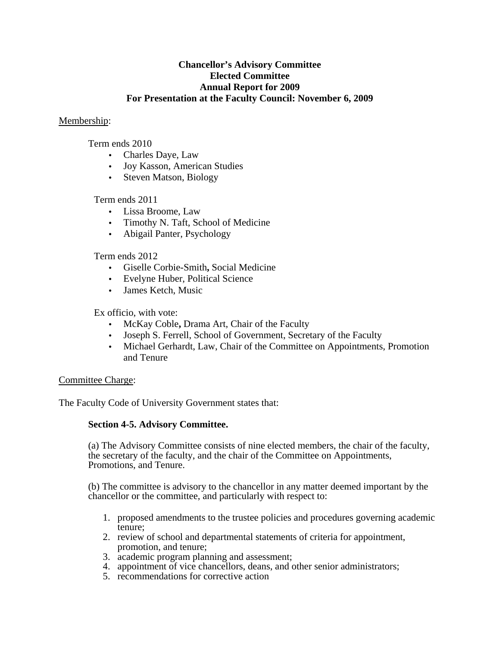## **Chancellor's Advisory Committee Elected Committee Annual Report for 2009 For Presentation at the Faculty Council: November 6, 2009**

## Membership:

Term ends 2010

- Charles Daye, Law
- Joy Kasson, American Studies
- Steven Matson, Biology

# Term ends 2011

- Lissa Broome, Law
- Timothy N. Taft, School of Medicine
- Abigail Panter, Psychology

## Term ends 2012

- Giselle Corbie-Smith**,** Social Medicine
- Evelyne Huber, Political Science
- James Ketch, Music

### Ex officio, with vote:

- McKay Coble**,** Drama Art, Chair of the Faculty
- Joseph S. Ferrell, School of Government, Secretary of the Faculty
- Michael Gerhardt, Law, Chair of the Committee on Appointments, Promotion and Tenure

### Committee Charge:

The Faculty Code of University Government states that:

### **Section 4-5. Advisory Committee.**

(a) The Advisory Committee consists of nine elected members, the chair of the faculty, the secretary of the faculty, and the chair of the Committee on Appointments, Promotions, and Tenure.

(b) The committee is advisory to the chancellor in any matter deemed important by the chancellor or the committee, and particularly with respect to:

- 1. proposed amendments to the trustee policies and procedures governing academic tenure;
- 2. review of school and departmental statements of criteria for appointment, promotion, and tenure;
- 3. academic program planning and assessment;
- 4. appointment of vice chancellors, deans, and other senior administrators;
- 5. recommendations for corrective action